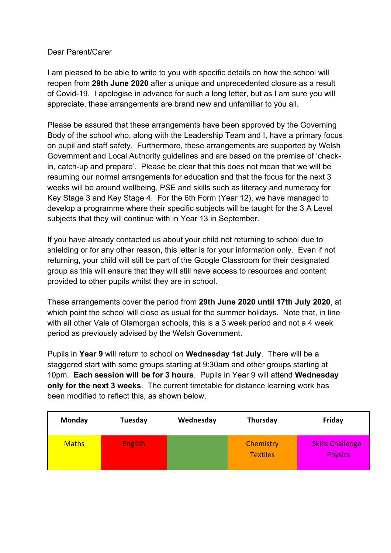### Dear Parent/Carer

I am pleased to be able to write to you with specific details on how the school will reopen from **29th June 2020** after a unique and unprecedented closure as a result of Covid-19. I apologise in advance for such a long letter, but as I am sure you will appreciate, these arrangements are brand new and unfamiliar to you all.

Please be assured that these arrangements have been approved by the Governing Body of the school who, along with the Leadership Team and I, have a primary focus on pupil and staff safety. Furthermore, these arrangements are supported by Welsh Government and Local Authority guidelines and are based on the premise of 'checkin, catch-up and prepare'. Please be clear that this does not mean that we will be resuming our normal arrangements for education and that the focus for the next 3 weeks will be around wellbeing, PSE and skills such as literacy and numeracy for Key Stage 3 and Key Stage 4. For the 6th Form (Year 12), we have managed to develop a programme where their specific subjects will be taught for the 3 A Level subjects that they will continue with in Year 13 in September.

If you have already contacted us about your child not returning to school due to shielding or for any other reason, this letter is for your information only. Even if not returning, your child will still be part of the Google Classroom for their designated group as this will ensure that they will still have access to resources and content provided to other pupils whilst they are in school.

These arrangements cover the period from **29th June 2020 until 17th July 2020**, at which point the school will close as usual for the summer holidays. Note that, in line with all other Vale of Glamorgan schools, this is a 3 week period and not a 4 week period as previously advised by the Welsh Government.

Pupils in **Year 9** will return to school on **Wednesday 1st July**. There will be a staggered start with some groups starting at 9:30am and other groups starting at 10pm. **Each session will be for 3 hours**. Pupils in Year 9 will attend **Wednesday only for the next 3 weeks**. The current timetable for distance learning work has been modified to reflect this, as shown below.

| Monday       | Tuesday        | Wednesday | Thursday                     | Friday                                    |
|--------------|----------------|-----------|------------------------------|-------------------------------------------|
| <b>Maths</b> | <b>English</b> |           | Chemistry<br><b>Textiles</b> | <b>Skills Challenge</b><br><b>Physics</b> |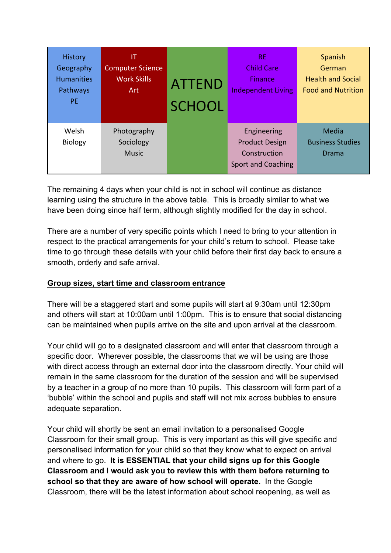| <b>History</b><br>Geography<br><b>Humanities</b><br>Pathways<br><b>PE</b> | IT<br><b>Computer Science</b><br><b>Work Skills</b><br>Art | <b>ATTEND</b><br><b>SCHOOL</b> | RE.<br><b>Child Care</b><br><b>Finance</b><br><b>Independent Living</b>           | Spanish<br>German<br><b>Health and Social</b><br><b>Food and Nutrition</b> |
|---------------------------------------------------------------------------|------------------------------------------------------------|--------------------------------|-----------------------------------------------------------------------------------|----------------------------------------------------------------------------|
| Welsh<br><b>Biology</b>                                                   | Photography<br>Sociology<br><b>Music</b>                   |                                | Engineering<br><b>Product Design</b><br>Construction<br><b>Sport and Coaching</b> | Media<br><b>Business Studies</b><br>Drama                                  |

The remaining 4 days when your child is not in school will continue as distance learning using the structure in the above table. This is broadly similar to what we have been doing since half term, although slightly modified for the day in school.

There are a number of very specific points which I need to bring to your attention in respect to the practical arrangements for your child's return to school. Please take time to go through these details with your child before their first day back to ensure a smooth, orderly and safe arrival.

## **Group sizes, start time and classroom entrance**

There will be a staggered start and some pupils will start at 9:30am until 12:30pm and others will start at 10:00am until 1:00pm. This is to ensure that social distancing can be maintained when pupils arrive on the site and upon arrival at the classroom.

Your child will go to a designated classroom and will enter that classroom through a specific door. Wherever possible, the classrooms that we will be using are those with direct access through an external door into the classroom directly. Your child will remain in the same classroom for the duration of the session and will be supervised by a teacher in a group of no more than 10 pupils. This classroom will form part of a 'bubble' within the school and pupils and staff will not mix across bubbles to ensure adequate separation.

Your child will shortly be sent an email invitation to a personalised Google Classroom for their small group. This is very important as this will give specific and personalised information for your child so that they know what to expect on arrival and where to go. **It is ESSENTIAL that your child signs up for this Google Classroom and I would ask you to review this with them before returning to school so that they are aware of how school will operate.** In the Google Classroom, there will be the latest information about school reopening, as well as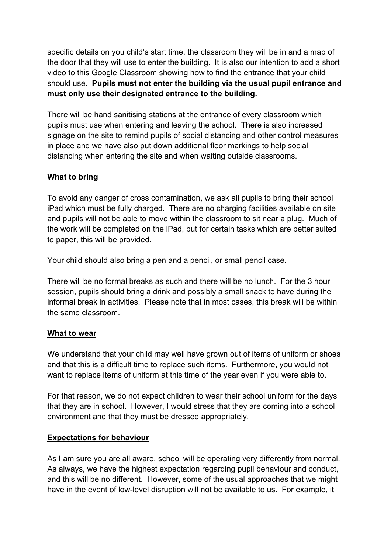specific details on you child's start time, the classroom they will be in and a map of the door that they will use to enter the building. It is also our intention to add a short video to this Google Classroom showing how to find the entrance that your child should use. **Pupils must not enter the building via the usual pupil entrance and must only use their designated entrance to the building.**

There will be hand sanitising stations at the entrance of every classroom which pupils must use when entering and leaving the school. There is also increased signage on the site to remind pupils of social distancing and other control measures in place and we have also put down additional floor markings to help social distancing when entering the site and when waiting outside classrooms.

## **What to bring**

To avoid any danger of cross contamination, we ask all pupils to bring their school iPad which must be fully charged. There are no charging facilities available on site and pupils will not be able to move within the classroom to sit near a plug. Much of the work will be completed on the iPad, but for certain tasks which are better suited to paper, this will be provided.

Your child should also bring a pen and a pencil, or small pencil case.

There will be no formal breaks as such and there will be no lunch. For the 3 hour session, pupils should bring a drink and possibly a small snack to have during the informal break in activities. Please note that in most cases, this break will be within the same classroom.

#### **What to wear**

We understand that your child may well have grown out of items of uniform or shoes and that this is a difficult time to replace such items. Furthermore, you would not want to replace items of uniform at this time of the year even if you were able to.

For that reason, we do not expect children to wear their school uniform for the days that they are in school. However, I would stress that they are coming into a school environment and that they must be dressed appropriately.

#### **Expectations for behaviour**

As I am sure you are all aware, school will be operating very differently from normal. As always, we have the highest expectation regarding pupil behaviour and conduct, and this will be no different. However, some of the usual approaches that we might have in the event of low-level disruption will not be available to us. For example, it